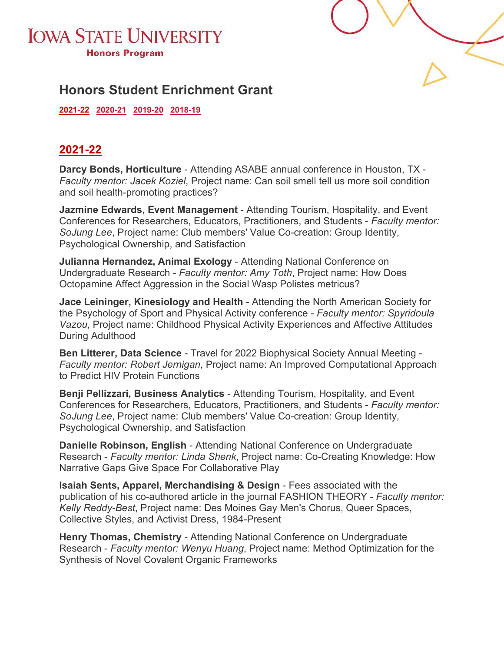



# **Honors Student Enrichment Grant**

**[2021-22](#page-0-0) [2020-21](#page-1-0) [2019-20](#page-1-1) [2018-19](#page-2-0)** 

#### <span id="page-0-0"></span>**2021-22**

**Darcy Bonds, Horticulture** - Attending ASABE annual conference in Houston, TX - *Faculty mentor: Jacek Koziel*, Project name: Can soil smell tell us more soil condition and soil health-promoting practices?

**Jazmine Edwards, Event Management** - Attending Tourism, Hospitality, and Event Conferences for Researchers, Educators, Practitioners, and Students - *Faculty mentor: SoJung Lee*, Project name: Club members' Value Co-creation: Group Identity, Psychological Ownership, and Satisfaction

**Julianna Hernandez, Animal Exology** - Attending National Conference on Undergraduate Research - *Faculty mentor: Amy Toth*, Project name: How Does Octopamine Affect Aggression in the Social Wasp Polistes metricus?

**Jace Leininger, Kinesiology and Health** - Attending the North American Society for the Psychology of Sport and Physical Activity conference - *Faculty mentor: Spyridoula Vazou*, Project name: Childhood Physical Activity Experiences and Affective Attitudes During Adulthood

**Ben Litterer, Data Science** - Travel for 2022 Biophysical Society Annual Meeting - *Faculty mentor: Robert Jernigan*, Project name: An Improved Computational Approach to Predict HIV Protein Functions

**Benji Pellizzari, Business Analytics** - Attending Tourism, Hospitality, and Event Conferences for Researchers, Educators, Practitioners, and Students - *Faculty mentor: SoJung Lee*, Project name: Club members' Value Co-creation: Group Identity, Psychological Ownership, and Satisfaction

**Danielle Robinson, English** - Attending National Conference on Undergraduate Research - *Faculty mentor: Linda Shenk*, Project name: Co-Creating Knowledge: How Narrative Gaps Give Space For Collaborative Play

**Isaiah Sents, Apparel, Merchandising & Design** - Fees associated with the publication of his co-authored article in the journal FASHION THEORY - *Faculty mentor: Kelly Reddy-Best*, Project name: Des Moines Gay Men's Chorus, Queer Spaces, Collective Styles, and Activist Dress, 1984-Present

**Henry Thomas, Chemistry** - Attending National Conference on Undergraduate Research - *Faculty mentor: Wenyu Huang*, Project name: Method Optimization for the Synthesis of Novel Covalent Organic Frameworks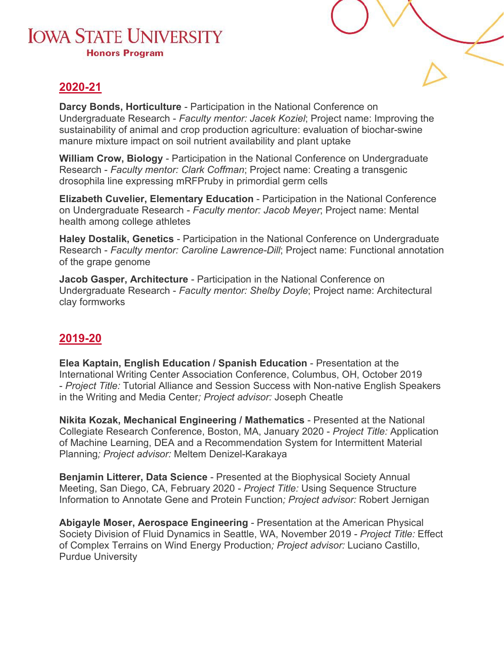## **IOWA STATE UNIVERSITY Honors Program**



### <span id="page-1-0"></span>**2020-21**

**Darcy Bonds, Horticulture** - Participation in the National Conference on Undergraduate Research - *Faculty mentor: Jacek Koziel*; Project name: Improving the sustainability of animal and crop production agriculture: evaluation of biochar-swine manure mixture impact on soil nutrient availability and plant uptake

**William Crow, Biology** - Participation in the National Conference on Undergraduate Research - *Faculty mentor: Clark Coffman*; Project name: Creating a transgenic drosophila line expressing mRFPruby in primordial germ cells

**Elizabeth Cuvelier, Elementary Education** - Participation in the National Conference on Undergraduate Research - *Faculty mentor: Jacob Meyer*; Project name: Mental health among college athletes

**Haley Dostalik, Genetics** - Participation in the National Conference on Undergraduate Research - *Faculty mentor: Caroline Lawrence-Dill*; Project name: Functional annotation of the grape genome

**Jacob Gasper, Architecture** - Participation in the National Conference on Undergraduate Research - *Faculty mentor: Shelby Doyle*; Project name: Architectural clay formworks

#### <span id="page-1-1"></span>**2019-20**

**Elea Kaptain, English Education / Spanish Education** - Presentation at the International Writing Center Association Conference, Columbus, OH, October 2019 - *Project Title:* Tutorial Alliance and Session Success with Non-native English Speakers in the Writing and Media Center*; Project advisor:* Joseph Cheatle

**Nikita Kozak, Mechanical Engineering / Mathematics** - Presented at the National Collegiate Research Conference, Boston, MA, January 2020 - *Project Title:* Application of Machine Learning, DEA and a Recommendation System for Intermittent Material Planning*; Project advisor:* Meltem Denizel-Karakaya

**Benjamin Litterer, Data Science** - Presented at the Biophysical Society Annual Meeting, San Diego, CA, February 2020 - *Project Title:* Using Sequence Structure Information to Annotate Gene and Protein Function*; Project advisor:* Robert Jernigan

**Abigayle Moser, Aerospace Engineering** - Presentation at the American Physical Society Division of Fluid Dynamics in Seattle, WA, November 2019 - *Project Title:* Effect of Complex Terrains on Wind Energy Production*; Project advisor:* Luciano Castillo, Purdue University